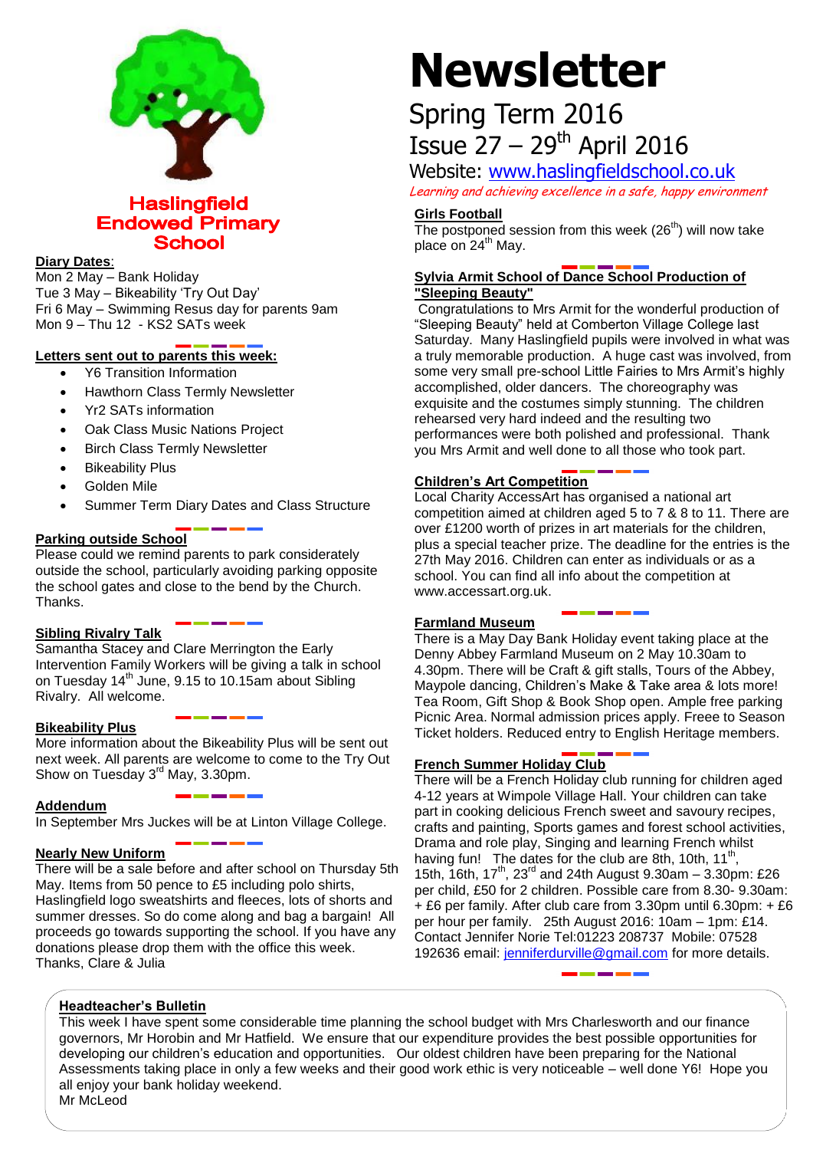

**Haslingfield Endowed Primary School** 

### **Diary Dates**:

Mon 2 May – Bank Holiday Tue 3 May – Bikeability 'Try Out Day' Fri 6 May – Swimming Resus day for parents 9am Mon 9 – Thu 12 - KS2 SATs week

# **Letters sent out to parents this week:**

- Y6 Transition Information
- Hawthorn Class Termly Newsletter
- Yr2 SATs information
- Oak Class Music Nations Project
- Birch Class Termly Newsletter
- Bikeability Plus
- Golden Mile
- Summer Term Diary Dates and Class Structure

# **Parking outside School**

Please could we remind parents to park considerately outside the school, particularly avoiding parking opposite the school gates and close to the bend by the Church. Thanks.

#### **Sibling Rivalry Talk**

Samantha Stacey and Clare Merrington the Early Intervention Family Workers will be giving a talk in school on Tuesday 14<sup>th</sup> June, 9.15 to 10.15am about Sibling Rivalry. All welcome.

#### **Bikeability Plus**

More information about the Bikeability Plus will be sent out next week. All parents are welcome to come to the Try Out Show on Tuesday 3<sup>rd</sup> May, 3.30pm.

### **Addendum**

In September Mrs Juckes will be at Linton Village College.

#### **Nearly New Uniform**

There will be a sale before and after school on Thursday 5th May. Items from 50 pence to £5 including polo shirts, Haslingfield logo sweatshirts and fleeces, lots of shorts and summer dresses. So do come along and bag a bargain! All proceeds go towards supporting the school. If you have any donations please drop them with the office this week. Thanks, Clare & Julia

# **Newsletter**

# Spring Term 2016 Issue  $27 - 29$ <sup>th</sup> April 2016

Website: [www.haslingfieldschool.co.uk](http://www.haslingfieldschool.co.uk/) Learning and achieving excellence in a safe, happy environment

#### **Girls Football**

The postponed session from this week  $(26<sup>th</sup>)$  will now take place on 24<sup>th</sup> May.

# **Sylvia Armit School of Dance School Production of "Sleeping Beauty"**

Congratulations to Mrs Armit for the wonderful production of "Sleeping Beauty" held at Comberton Village College last Saturday. Many Haslingfield pupils were involved in what was a truly memorable production. A huge cast was involved, from some very small pre-school Little Fairies to Mrs Armit's highly accomplished, older dancers. The choreography was exquisite and the costumes simply stunning. The children rehearsed very hard indeed and the resulting two performances were both polished and professional. Thank you Mrs Armit and well done to all those who took part.

# **Children's Art Competition**

Local Charity AccessArt has organised a national art competition aimed at children aged 5 to 7 & 8 to 11. There are over £1200 worth of prizes in art materials for the children, plus a special teacher prize. The deadline for the entries is the 27th May 2016. Children can enter as individuals or as a school. You can find all info about the competition at www.accessart.org.uk.

#### **Farmland Museum**

There is a May Day Bank Holiday event taking place at the Denny Abbey Farmland Museum on 2 May 10.30am to 4.30pm. There will be Craft & gift stalls, Tours of the Abbey, Maypole dancing, Children's Make & Take area & lots more! Tea Room, Gift Shop & Book Shop open. Ample free parking Picnic Area. Normal admission prices apply. Freee to Season Ticket holders. Reduced entry to English Heritage members.

#### **French Summer Holiday Club**

There will be a French Holiday club running for children aged 4-12 years at Wimpole Village Hall. Your children can take part in cooking delicious French sweet and savoury recipes, crafts and painting, Sports games and forest school activities, Drama and role play, Singing and learning French whilst having fun! The dates for the club are 8th, 10th, 11<sup>th</sup>, 15th,  $16th$ ,  $17^{th}$ ,  $23^{rd}$  and 24th August 9.30am - 3.30pm: £26 per child, £50 for 2 children. Possible care from 8.30- 9.30am: + £6 per family. After club care from 3.30pm until 6.30pm: + £6 per hour per family. 25th August 2016: 10am – 1pm: £14. Contact Jennifer Norie Tel:01223 208737 Mobile: 07528 192636 email: [jenniferdurville@gmail.com](mailto:jenniferdurville@gmail.com) for more details.

#### **Headteacher's Bulletin**

This week I have spent some considerable time planning the school budget with Mrs Charlesworth and our finance governors, Mr Horobin and Mr Hatfield. We ensure that our expenditure provides the best possible opportunities for developing our children's education and opportunities. Our oldest children have been preparing for the National Assessments taking place in only a few weeks and their good work ethic is very noticeable – well done Y6! Hope you all enjoy your bank holiday weekend. Mr McLeod